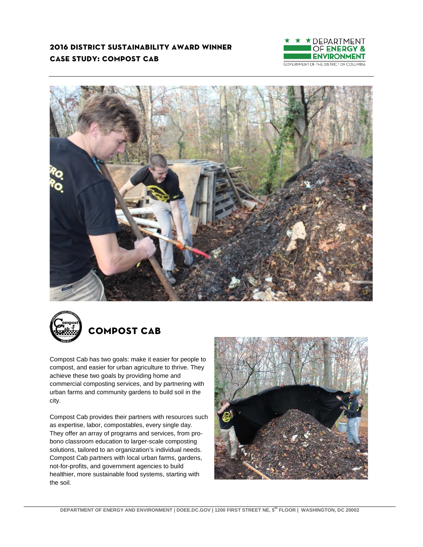### **2016 district sustainability award winner case study: compost cab**







# **compost cab**

Compost Cab has two goals: make it easier for people to compost, and easier for urban agriculture to thrive. They achieve these two goals by providing home and commercial composting services, and by partnering with urban farms and community gardens to build soil in the city.

Compost Cab provides their partners with resources such as expertise, labor, compostables, every single day. They offer an array of programs and services, from probono classroom education to larger-scale composting solutions, tailored to an organization's individual needs. Compost Cab partners with local urban farms, gardens, not-for-profits, and government agencies to build healthier, more sustainable food systems, starting with the soil.

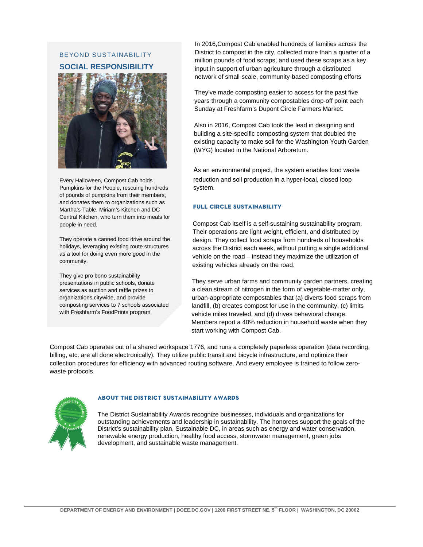## BEYOND SUSTAINABILITY **SOCIAL RESPONSIBILITY**



Every Halloween, Compost Cab holds Pumpkins for the People, rescuing hundreds of pounds of pumpkins from their members, and donates them to organizations such as Martha's Table, Miriam's Kitchen and DC Central Kitchen, who turn them into meals for people in need.

They operate a canned food drive around the holidays, leveraging existing route structures as a tool for doing even more good in the community.

They give pro bono sustainability presentations in public schools, donate services as auction and raffle prizes to organizations citywide, and provide composting services to 7 schools associated with Freshfarm's FoodPrints program.

In 2016,Compost Cab enabled hundreds of families across the District to compost in the city, collected more than a quarter of a million pounds of food scraps, and used these scraps as a key input in support of urban agriculture through a distributed network of small-scale, community-based composting efforts

They've made composting easier to access for the past five years through a community compostables drop-off point each Sunday at Freshfarm's Dupont Circle Farmers Market.

Also in 2016, Compost Cab took the lead in designing and building a site-specific composting system that doubled the existing capacity to make soil for the Washington Youth Garden (WYG) located in the National Arboretum.

As an environmental project, the system enables food waste reduction and soil production in a hyper-local, closed loop system.

#### **full circle sustainability**

Compost Cab itself is a self-sustaining sustainability program. Their operations are light-weight, efficient, and distributed by design. They collect food scraps from hundreds of households across the District each week, without putting a single additional vehicle on the road – instead they maximize the utilization of existing vehicles already on the road.

They serve urban farms and community garden partners, creating a clean stream of nitrogen in the form of vegetable-matter only, urban-appropriate compostables that (a) diverts food scraps from landfill, (b) creates compost for use in the community, (c) limits vehicle miles traveled, and (d) drives behavioral change. Members report a 40% reduction in household waste when they start working with Compost Cab.

Compost Cab operates out of a shared workspace 1776, and runs a completely paperless operation (data recording, billing, etc. are all done electronically). They utilize public transit and bicycle infrastructure, and optimize their collection procedures for efficiency with advanced routing software. And every employee is trained to follow zerowaste protocols.



#### **about the district sustainability awards**

The District Sustainability Awards recognize businesses, individuals and organizations for outstanding achievements and leadership in sustainability. The honorees support the goals of the District's sustainability plan, Sustainable DC, in areas such as energy and water conservation, renewable energy production, healthy food access, stormwater management, green jobs development, and sustainable waste management.